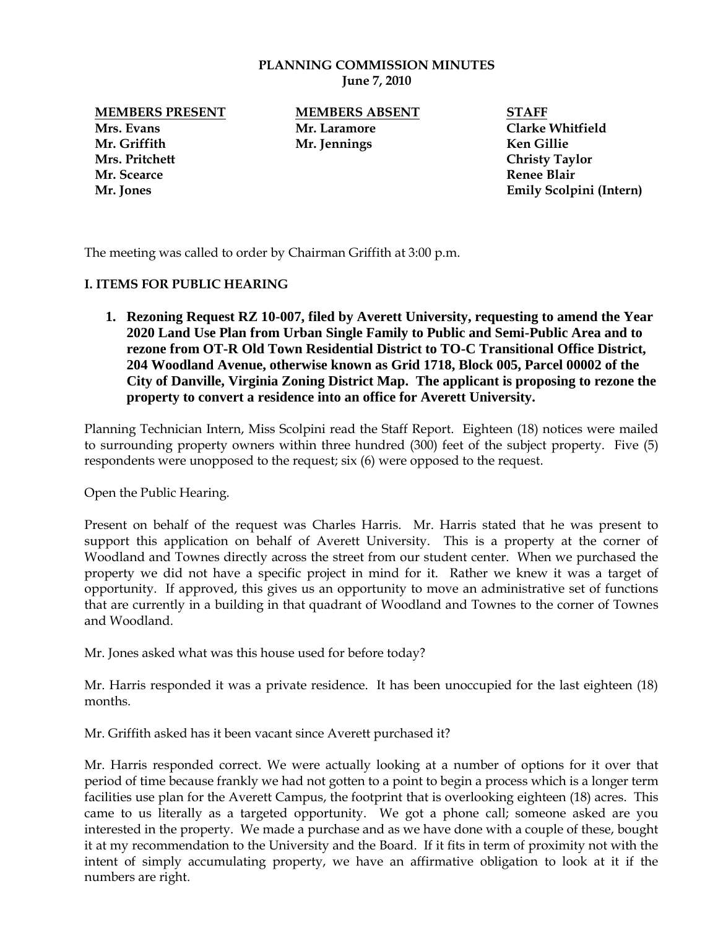#### **PLANNING COMMISSION MINUTES June 7, 2010**

**Mrs. Evans Mr. Laramore Clarke Whitfield Mr. Griffith Mr. Jennings Ken Gillie Mrs. Pritchett Christy Taylor Mr. Scearce Renee Blair**

**MEMBERS PRESENT MEMBERS ABSENT STAFF**

**Mr. Jones Emily Scolpini (Intern)**

The meeting was called to order by Chairman Griffith at 3:00 p.m.

# **I. ITEMS FOR PUBLIC HEARING**

**1. Rezoning Request RZ 10-007, filed by Averett University, requesting to amend the Year 2020 Land Use Plan from Urban Single Family to Public and Semi-Public Area and to rezone from OT-R Old Town Residential District to TO-C Transitional Office District, 204 Woodland Avenue, otherwise known as Grid 1718, Block 005, Parcel 00002 of the City of Danville, Virginia Zoning District Map. The applicant is proposing to rezone the property to convert a residence into an office for Averett University.**

Planning Technician Intern, Miss Scolpini read the Staff Report. Eighteen (18) notices were mailed to surrounding property owners within three hundred (300) feet of the subject property. Five (5) respondents were unopposed to the request; six (6) were opposed to the request.

Open the Public Hearing.

Present on behalf of the request was Charles Harris. Mr. Harris stated that he was present to support this application on behalf of Averett University. This is a property at the corner of Woodland and Townes directly across the street from our student center. When we purchased the property we did not have a specific project in mind for it. Rather we knew it was a target of opportunity. If approved, this gives us an opportunity to move an administrative set of functions that are currently in a building in that quadrant of Woodland and Townes to the corner of Townes and Woodland.

Mr. Jones asked what was this house used for before today?

Mr. Harris responded it was a private residence. It has been unoccupied for the last eighteen (18) months.

Mr. Griffith asked has it been vacant since Averett purchased it?

Mr. Harris responded correct. We were actually looking at a number of options for it over that period of time because frankly we had not gotten to a point to begin a process which is a longer term facilities use plan for the Averett Campus, the footprint that is overlooking eighteen (18) acres. This came to us literally as a targeted opportunity. We got a phone call; someone asked are you interested in the property. We made a purchase and as we have done with a couple of these, bought it at my recommendation to the University and the Board. If it fits in term of proximity not with the intent of simply accumulating property, we have an affirmative obligation to look at it if the numbers are right.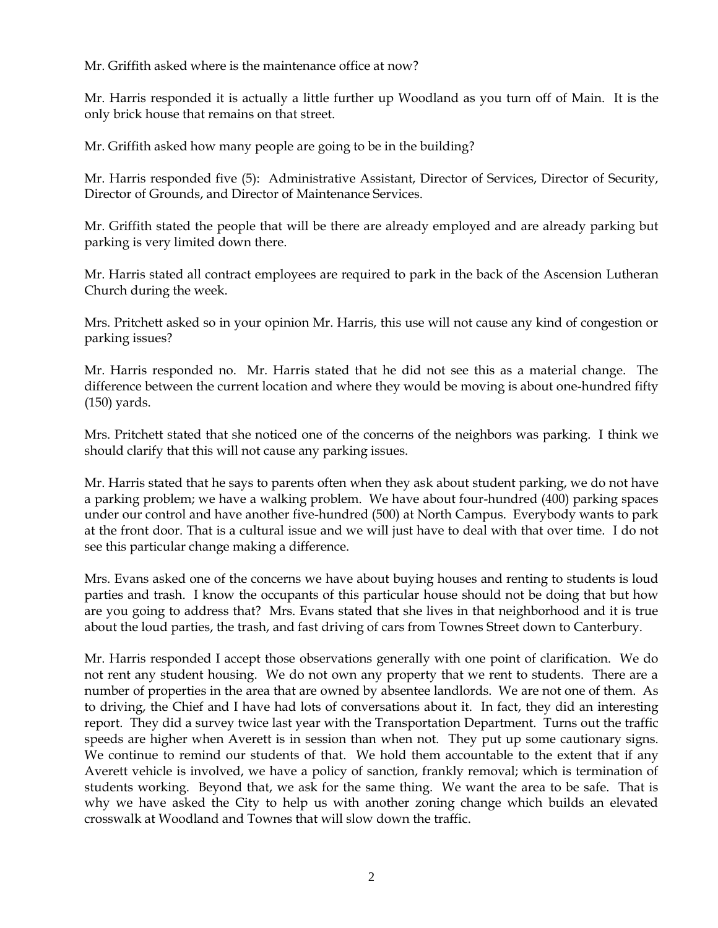Mr. Griffith asked where is the maintenance office at now?

Mr. Harris responded it is actually a little further up Woodland as you turn off of Main. It is the only brick house that remains on that street.

Mr. Griffith asked how many people are going to be in the building?

Mr. Harris responded five (5): Administrative Assistant, Director of Services, Director of Security, Director of Grounds, and Director of Maintenance Services.

Mr. Griffith stated the people that will be there are already employed and are already parking but parking is very limited down there.

Mr. Harris stated all contract employees are required to park in the back of the Ascension Lutheran Church during the week.

Mrs. Pritchett asked so in your opinion Mr. Harris, this use will not cause any kind of congestion or parking issues?

Mr. Harris responded no. Mr. Harris stated that he did not see this as a material change. The difference between the current location and where they would be moving is about one-hundred fifty (150) yards.

Mrs. Pritchett stated that she noticed one of the concerns of the neighbors was parking. I think we should clarify that this will not cause any parking issues.

Mr. Harris stated that he says to parents often when they ask about student parking, we do not have a parking problem; we have a walking problem. We have about four-hundred (400) parking spaces under our control and have another five-hundred (500) at North Campus. Everybody wants to park at the front door. That is a cultural issue and we will just have to deal with that over time. I do not see this particular change making a difference.

Mrs. Evans asked one of the concerns we have about buying houses and renting to students is loud parties and trash. I know the occupants of this particular house should not be doing that but how are you going to address that? Mrs. Evans stated that she lives in that neighborhood and it is true about the loud parties, the trash, and fast driving of cars from Townes Street down to Canterbury.

Mr. Harris responded I accept those observations generally with one point of clarification. We do not rent any student housing. We do not own any property that we rent to students. There are a number of properties in the area that are owned by absentee landlords. We are not one of them. As to driving, the Chief and I have had lots of conversations about it. In fact, they did an interesting report. They did a survey twice last year with the Transportation Department. Turns out the traffic speeds are higher when Averett is in session than when not. They put up some cautionary signs. We continue to remind our students of that. We hold them accountable to the extent that if any Averett vehicle is involved, we have a policy of sanction, frankly removal; which is termination of students working. Beyond that, we ask for the same thing. We want the area to be safe. That is why we have asked the City to help us with another zoning change which builds an elevated crosswalk at Woodland and Townes that will slow down the traffic.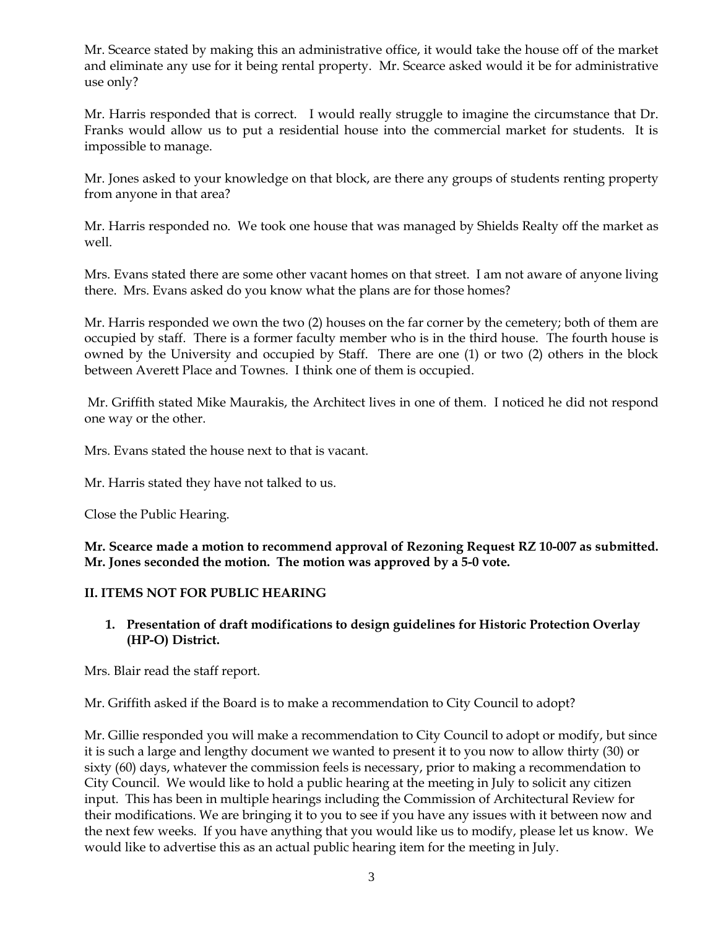Mr. Scearce stated by making this an administrative office, it would take the house off of the market and eliminate any use for it being rental property. Mr. Scearce asked would it be for administrative use only?

Mr. Harris responded that is correct. I would really struggle to imagine the circumstance that Dr. Franks would allow us to put a residential house into the commercial market for students. It is impossible to manage.

Mr. Jones asked to your knowledge on that block, are there any groups of students renting property from anyone in that area?

Mr. Harris responded no. We took one house that was managed by Shields Realty off the market as well.

Mrs. Evans stated there are some other vacant homes on that street. I am not aware of anyone living there. Mrs. Evans asked do you know what the plans are for those homes?

Mr. Harris responded we own the two (2) houses on the far corner by the cemetery; both of them are occupied by staff. There is a former faculty member who is in the third house. The fourth house is owned by the University and occupied by Staff. There are one (1) or two (2) others in the block between Averett Place and Townes. I think one of them is occupied.

Mr. Griffith stated Mike Maurakis, the Architect lives in one of them. I noticed he did not respond one way or the other.

Mrs. Evans stated the house next to that is vacant.

Mr. Harris stated they have not talked to us.

Close the Public Hearing.

**Mr. Scearce made a motion to recommend approval of Rezoning Request RZ 10-007 as submitted. Mr. Jones seconded the motion. The motion was approved by a 5-0 vote.** 

#### **II. ITEMS NOT FOR PUBLIC HEARING**

# **1. Presentation of draft modifications to design guidelines for Historic Protection Overlay (HP-O) District.**

Mrs. Blair read the staff report.

Mr. Griffith asked if the Board is to make a recommendation to City Council to adopt?

Mr. Gillie responded you will make a recommendation to City Council to adopt or modify, but since it is such a large and lengthy document we wanted to present it to you now to allow thirty (30) or sixty (60) days, whatever the commission feels is necessary, prior to making a recommendation to City Council. We would like to hold a public hearing at the meeting in July to solicit any citizen input. This has been in multiple hearings including the Commission of Architectural Review for their modifications. We are bringing it to you to see if you have any issues with it between now and the next few weeks. If you have anything that you would like us to modify, please let us know. We would like to advertise this as an actual public hearing item for the meeting in July.